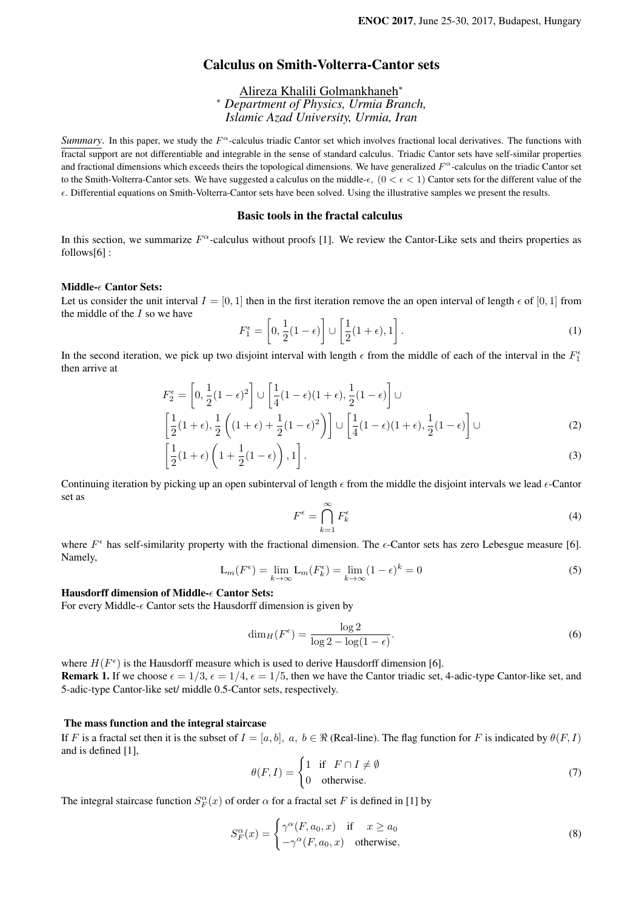# Calculus on Smith-Volterra-Cantor sets

Alireza Khalili Golmankhaneh<sup>∗</sup> <sup>∗</sup> *Department of Physics, Urmia Branch, Islamic Azad University, Urmia, Iran*

*Summary*. In this paper, we study the  $F^{\alpha}$ -calculus triadic Cantor set which involves fractional local derivatives. The functions with fractal support are not differentiable and integrable in the sense of standard calculus. Triadic Cantor sets have self-similar properties and fractional dimensions which exceeds theirs the topological dimensions. We have generalized  $F^{\alpha}$ -calculus on the triadic Cantor set to the Smith-Volterra-Cantor sets. We have suggested a calculus on the middle- $\epsilon$ ,  $(0 \lt \epsilon \lt 1)$  Cantor sets for the different value of the . Differential equations on Smith-Volterra-Cantor sets have been solved. Using the illustrative samples we present the results.

### Basic tools in the fractal calculus

In this section, we summarize  $F^{\alpha}$ -calculus without proofs [1]. We review the Cantor-Like sets and theirs properties as follows[6] :

#### Middle- $\epsilon$  Cantor Sets:

Let us consider the unit interval  $I = [0, 1]$  then in the first iteration remove the an open interval of length  $\epsilon$  of [0, 1] from the middle of the  $I$  so we have

$$
F_1^{\epsilon} = \left[0, \frac{1}{2}(1 - \epsilon)\right] \cup \left[\frac{1}{2}(1 + \epsilon), 1\right].
$$
 (1)

In the second iteration, we pick up two disjoint interval with length  $\epsilon$  from the middle of each of the interval in the  $F_1^{\epsilon}$ then arrive at

$$
F_2^{\epsilon} = \left[0, \frac{1}{2}(1-\epsilon)^2\right] \cup \left[\frac{1}{4}(1-\epsilon)(1+\epsilon), \frac{1}{2}(1-\epsilon)\right] \cup \left[\frac{1}{2}(1+\epsilon), \frac{1}{2}\left((1+\epsilon)^2\right)\right] \cup \left[\frac{1}{4}(1-\epsilon)(1+\epsilon), \frac{1}{2}(1-\epsilon)\right] \cup \left[\frac{1}{4}(1-\epsilon)(1+\epsilon), \frac{1}{2}(1-\epsilon)\right] \cup \left[\frac{1}{4}(1-\epsilon)(1+\epsilon), \frac{1}{2}(1-\epsilon)\right] \cup \left[\frac{1}{4}(1-\epsilon)(1+\epsilon), \frac{1}{2}(1-\epsilon)\right] \cup \left[\frac{1}{4}(1-\epsilon)(1+\epsilon), \frac{1}{2}(1-\epsilon)\right] \cup \left[\frac{1}{4}(1-\epsilon)(1+\epsilon), \frac{1}{2}(1-\epsilon)\right] \cup \left[\frac{1}{4}(1-\epsilon)(1+\epsilon), \frac{1}{2}(1-\epsilon)\right] \cup \left[\frac{1}{4}(1-\epsilon)(1+\epsilon), \frac{1}{2}(1-\epsilon)\right] \cup \left[\frac{1}{4}(1-\epsilon)(1+\epsilon), \frac{1}{2}(1-\epsilon)\right] \cup \left[\frac{1}{4}(1-\epsilon)(1+\epsilon), \frac{1}{2}(1-\epsilon)\right] \cup \left[\frac{1}{4}(1-\epsilon)(1+\epsilon), \frac{1}{2}(1-\epsilon)\right] \cup \left[\frac{1}{4}(1-\epsilon)(1+\epsilon), \frac{1}{2}(1-\epsilon)\right] \cup \left[\frac{1}{4}(1-\epsilon)(1+\epsilon), \frac{1}{2}(1-\epsilon)\right] \cup \left[\frac{1}{4}(1-\epsilon)(1+\epsilon), \frac{1}{2}(1-\epsilon)\right] \cup \left[\frac{1}{4}(1-\epsilon)(1+\epsilon), \frac{1}{2}(1-\epsilon)\right] \cup \left[\frac{1}{4}(1-\epsilon)(1+\epsilon), \frac{1}{2}(1-\epsilon)\right] \cup \left[\frac{1}{4}(1-\epsilon)(1+\epsilon), \frac{1}{2}(1-\epsilon)\right] \cup \left[\frac{1}{4}(1-\epsilon)(1+\epsilon), \frac{1}{2}(1-\epsilon)\right] \cup \left[\frac{1}{4}(1-\epsilon)(1+\epsilon), \frac{1}{4}(1-\epsilon)\right] \cup \left[\frac{1}{4}(1-\epsilon)(1+\epsilon)\right] \cup \left[\frac{1}{4}(1-\epsilon)(1+\epsilon)\right] \cup \left[\frac{1}{4}(1-\epsilon)(
$$

$$
\left[\frac{1}{2}(1+\epsilon)\left(1+\frac{1}{2}(1-\epsilon)\right),1\right].
$$
\n(3)

Continuing iteration by picking up an open subinterval of length  $\epsilon$  from the middle the disjoint intervals we lead  $\epsilon$ -Cantor set as

$$
F^{\epsilon} = \bigcap_{k=1}^{\infty} F_k^{\epsilon} \tag{4}
$$

where  $F^{\epsilon}$  has self-similarity property with the fractional dimension. The  $\epsilon$ -Cantor sets has zero Lebesgue measure [6]. Namely,

$$
L_m(F^{\epsilon}) = \lim_{k \to \infty} L_m(F_k^{\epsilon}) = \lim_{k \to \infty} (1 - \epsilon)^k = 0
$$
\n(5)

### Hausdorff dimension of Middle- $\epsilon$  Cantor Sets:

For every Middle- $\epsilon$  Cantor sets the Hausdorff dimension is given by

$$
\dim_H(F^{\epsilon}) = \frac{\log 2}{\log 2 - \log(1 - \epsilon)}.
$$
\n(6)

where  $H(F^{\epsilon})$  is the Hausdorff measure which is used to derive Hausdorff dimension [6]. **Remark 1.** If we choose  $\epsilon = 1/3$ ,  $\epsilon = 1/4$ ,  $\epsilon = 1/5$ , then we have the Cantor triadic set, 4-adic-type Cantor-like set, and 5-adic-type Cantor-like set/ middle 0.5-Cantor sets, respectively.

#### The mass function and the integral staircase

If F is a fractal set then it is the subset of  $I = [a, b]$ ,  $a, b \in \Re$  (Real-line). The flag function for F is indicated by  $\theta(F, I)$ and is defined [1],

$$
\theta(F, I) = \begin{cases} 1 & \text{if } F \cap I \neq \emptyset \\ 0 & \text{otherwise.} \end{cases}
$$
 (7)

The integral staircase function  $S_F^{\alpha}(x)$  of order  $\alpha$  for a fractal set F is defined in [1] by

$$
S_F^{\alpha}(x) = \begin{cases} \gamma^{\alpha}(F, a_0, x) & \text{if } x \ge a_0 \\ -\gamma^{\alpha}(F, a_0, x) & \text{otherwise,} \end{cases}
$$
 (8)